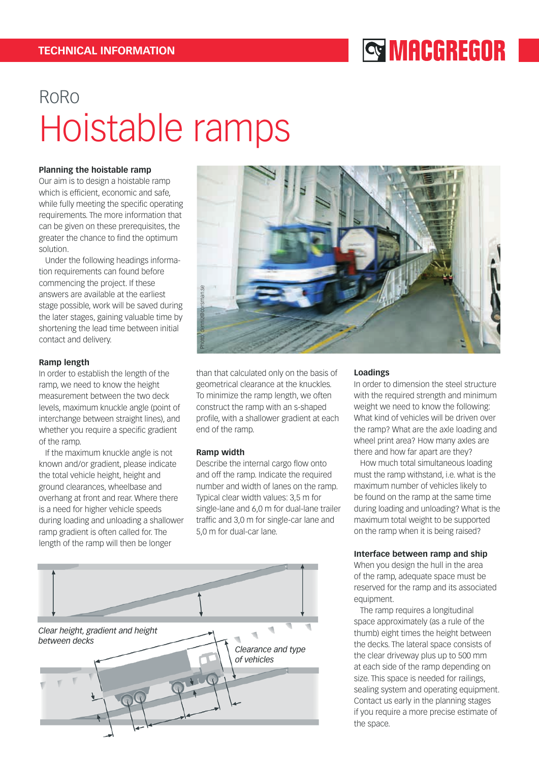## **SMACGREGOR**

# RoRo Hoistable ramps

#### **Planning the hoistable ramp**

Our aim is to design a hoistable ramp which is efficient, economic and safe, while fully meeting the specific operating requirements. The more information that can be given on these prerequisites, the greater the chance to find the optimum solution.

 Under the following headings information requirements can found before commencing the project. If these answers are available at the earliest stage possible, work will be saved during the later stages, gaining valuable time by shortening the lead time between initial contact and delivery.

#### **Ramp length**

In order to establish the length of the ramp, we need to know the height measurement between the two deck levels, maximum knuckle angle (point of interchange between straight lines), and whether you require a specific gradient of the ramp.

 If the maximum knuckle angle is not known and/or gradient, please indicate the total vehicle height, height and ground clearances, wheelbase and overhang at front and rear. Where there is a need for higher vehicle speeds during loading and unloading a shallower ramp gradient is often called for. The length of the ramp will then be longer



than that calculated only on the basis of geometrical clearance at the knuckles. To minimize the ramp length, we often construct the ramp with an s-shaped profile, with a shallower gradient at each end of the ramp.

#### **Ramp width**

Describe the internal cargo flow onto and off the ramp. Indicate the required number and width of lanes on the ramp. Typical clear width values: 3,5 m for single-lane and 6,0 m for dual-lane trailer traffic and 3,0 m for single-car lane and 5,0 m for dual-car lane.



#### **Loadings**

In order to dimension the steel structure with the required strength and minimum weight we need to know the following: What kind of vehicles will be driven over the ramp? What are the axle loading and wheel print area? How many axles are there and how far apart are they?

 How much total simultaneous loading must the ramp withstand, i.e. what is the maximum number of vehicles likely to be found on the ramp at the same time during loading and unloading? What is the maximum total weight to be supported on the ramp when it is being raised?

#### **Interface between ramp and ship**

When you design the hull in the area of the ramp, adequate space must be reserved for the ramp and its associated equipment.

 The ramp requires a longitudinal space approximately (as a rule of the thumb) eight times the height between the decks. The lateral space consists of the clear driveway plus up to 500 mm at each side of the ramp depending on size. This space is needed for railings, sealing system and operating equipment. Contact us early in the planning stages if you require a more precise estimate of the space.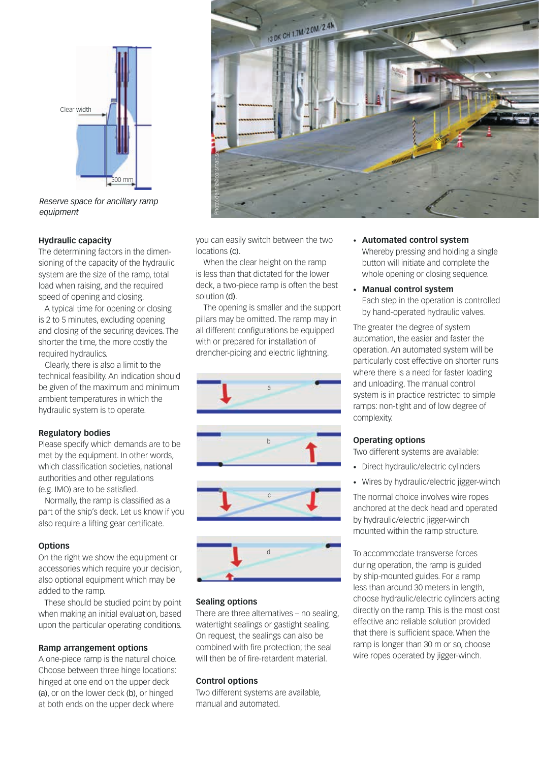

*Reserve space for ancillary ramp equipment*

#### **Hydraulic capacity**

The determining factors in the dimensioning of the capacity of the hydraulic system are the size of the ramp, total load when raising, and the required speed of opening and closing.

 A typical time for opening or closing is 2 to 5 minutes, excluding opening and closing of the securing devices. The shorter the time, the more costly the required hydraulics.

 Clearly, there is also a limit to the technical feasibility. An indication should be given of the maximum and minimum ambient temperatures in which the hydraulic system is to operate.

#### **Regulatory bodies**

Please specify which demands are to be met by the equipment. In other words, which classification societies, national authorities and other regulations (e.g. IMO) are to be satisfied.

 Normally, the ramp is classified as a part of the ship's deck. Let us know if you also require a lifting gear certificate.

#### **Options**

On the right we show the equipment or accessories which require your decision, also optional equipment which may be added to the ramp.

 These should be studied point by point when making an initial evaluation, based upon the particular operating conditions.

#### **Ramp arrangement options**

A one-piece ramp is the natural choice. Choose between three hinge locations: hinged at one end on the upper deck (a), or on the lower deck (b), or hinged at both ends on the upper deck where



you can easily switch between the two locations (c).

When the clear height on the ramp is less than that dictated for the lower deck, a two-piece ramp is often the best solution (d).

The opening is smaller and the support pillars may be omitted. The ramp may in all different configurations be equipped with or prepared for installation of drencher-piping and electric lightning.





#### **Sealing options**

There are three alternatives – no sealing, watertight sealings or gastight sealing. On request, the sealings can also be combined with fire protection; the seal will then be of fire-retardent material.

## **Control options**

Two different systems are available, manual and automated.

- **• Automated control system** Whereby pressing and holding a single button will initiate and complete the whole opening or closing sequence.
- **• Manual control system** Each step in the operation is controlled by hand-operated hydraulic valves.

The greater the degree of system automation, the easier and faster the operation. An automated system will be particularly cost effective on shorter runs where there is a need for faster loading and unloading. The manual control system is in practice restricted to simple ramps: non-tight and of low degree of complexity.

## **Operating options**

Two different systems are available:

- • Direct hydraulic/electric cylinders
- Wires by hydraulic/electric jigger-winch

The normal choice involves wire ropes anchored at the deck head and operated by hydraulic/electric jigger-winch mounted within the ramp structure.

To accommodate transverse forces during operation, the ramp is guided by ship-mounted guides. For a ramp less than around 30 meters in length, choose hydraulic/electric cylinders acting directly on the ramp. This is the most cost effective and reliable solution provided that there is sufficient space. When the ramp is longer than 30 m or so, choose wire ropes operated by jigger-winch.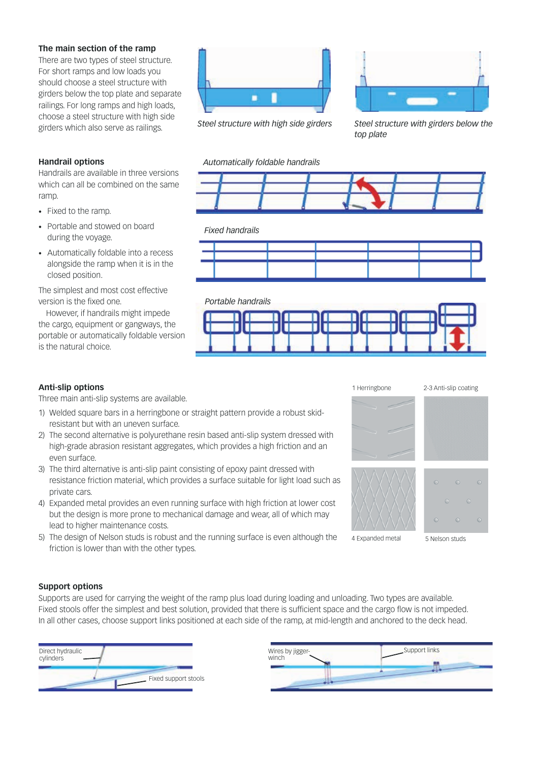### **The main section of the ramp**

There are two types of steel structure. For short ramps and low loads you should choose a steel structure with girders below the top plate and separate railings. For long ramps and high loads, choose a steel structure with high side girders which also serve as railings.

## **Handrail options**

Handrails are available in three versions which can all be combined on the same ramp.

- • Fixed to the ramp.
- Portable and stowed on board during the voyage.
- • Automatically foldable into a recess alongside the ramp when it is in the closed position.

The simplest and most cost effective version is the fixed one.

However, if handrails might impede the cargo, equipment or gangways, the portable or automatically foldable version is the natural choice.



*Steel structure with high side girders*



*Steel structure with girders below the top plate*

#### *Automatically foldable handrails*



#### *Fixed handrails*







Three main anti-slip systems are available.

- 1) Welded square bars in a herringbone or straight pattern provide a robust skidresistant but with an uneven surface.
- 2) The second alternative is polyurethane resin based anti-slip system dressed with high-grade abrasion resistant aggregates, which provides a high friction and an even surface.
- 3) The third alternative is anti-slip paint consisting of epoxy paint dressed with resistance friction material, which provides a surface suitable for light load such as private cars.
- 4) Expanded metal provides an even running surface with high friction at lower cost but the design is more prone to mechanical damage and wear, all of which may lead to higher maintenance costs.
- 5) The design of Nelson studs is robust and the running surface is even although the friction is lower than with the other types.



#### **Support options**

Supports are used for carrying the weight of the ramp plus load during loading and unloading. Two types are available. Fixed stools offer the simplest and best solution, provided that there is sufficient space and the cargo flow is not impeded. In all other cases, choose support links positioned at each side of the ramp, at mid-length and anchored to the deck head.



| Wires by jigger- | Support links |
|------------------|---------------|
|                  |               |
|                  |               |